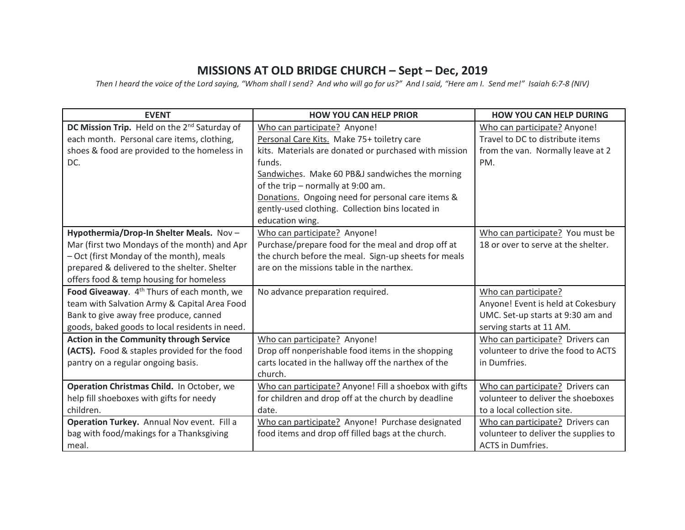## **MISSIONS AT OLD BRIDGE CHURCH – Sept – Dec, 2019**

*Then I heard the voice of the Lord saying, "Whom shall I send? And who will go for us?" And I said, "Here am I. Send me!" Isaiah 6:7-8 (NIV)*

| <b>EVENT</b>                                             | <b>HOW YOU CAN HELP PRIOR</b>                          | <b>HOW YOU CAN HELP DURING</b>       |
|----------------------------------------------------------|--------------------------------------------------------|--------------------------------------|
| DC Mission Trip. Held on the 2 <sup>nd</sup> Saturday of | Who can participate? Anyone!                           | Who can participate? Anyone!         |
| each month. Personal care items, clothing,               | Personal Care Kits. Make 75+ toiletry care             | Travel to DC to distribute items     |
| shoes & food are provided to the homeless in             | kits. Materials are donated or purchased with mission  | from the van. Normally leave at 2    |
| DC.                                                      | funds.                                                 | PM.                                  |
|                                                          | Sandwiches. Make 60 PB&J sandwiches the morning        |                                      |
|                                                          | of the trip - normally at 9:00 am.                     |                                      |
|                                                          | Donations. Ongoing need for personal care items &      |                                      |
|                                                          | gently-used clothing. Collection bins located in       |                                      |
|                                                          | education wing.                                        |                                      |
| Hypothermia/Drop-In Shelter Meals. Nov-                  | Who can participate? Anyone!                           | Who can participate? You must be     |
| Mar (first two Mondays of the month) and Apr             | Purchase/prepare food for the meal and drop off at     | 18 or over to serve at the shelter.  |
| - Oct (first Monday of the month), meals                 | the church before the meal. Sign-up sheets for meals   |                                      |
| prepared & delivered to the shelter. Shelter             | are on the missions table in the narthex.              |                                      |
| offers food & temp housing for homeless                  |                                                        |                                      |
| Food Giveaway. 4 <sup>th</sup> Thurs of each month, we   | No advance preparation required.                       | Who can participate?                 |
| team with Salvation Army & Capital Area Food             |                                                        | Anyone! Event is held at Cokesbury   |
| Bank to give away free produce, canned                   |                                                        | UMC. Set-up starts at 9:30 am and    |
| goods, baked goods to local residents in need.           |                                                        | serving starts at 11 AM.             |
| Action in the Community through Service                  | Who can participate? Anyone!                           | Who can participate? Drivers can     |
| (ACTS). Food & staples provided for the food             | Drop off nonperishable food items in the shopping      | volunteer to drive the food to ACTS  |
| pantry on a regular ongoing basis.                       | carts located in the hallway off the narthex of the    | in Dumfries.                         |
|                                                          | church.                                                |                                      |
| Operation Christmas Child. In October, we                | Who can participate? Anyone! Fill a shoebox with gifts | Who can participate? Drivers can     |
| help fill shoeboxes with gifts for needy                 | for children and drop off at the church by deadline    | volunteer to deliver the shoeboxes   |
| children.                                                | date.                                                  | to a local collection site.          |
| Operation Turkey. Annual Nov event. Fill a               | Who can participate? Anyone! Purchase designated       | Who can participate? Drivers can     |
| bag with food/makings for a Thanksgiving                 | food items and drop off filled bags at the church.     | volunteer to deliver the supplies to |
| meal.                                                    |                                                        | <b>ACTS</b> in Dumfries.             |